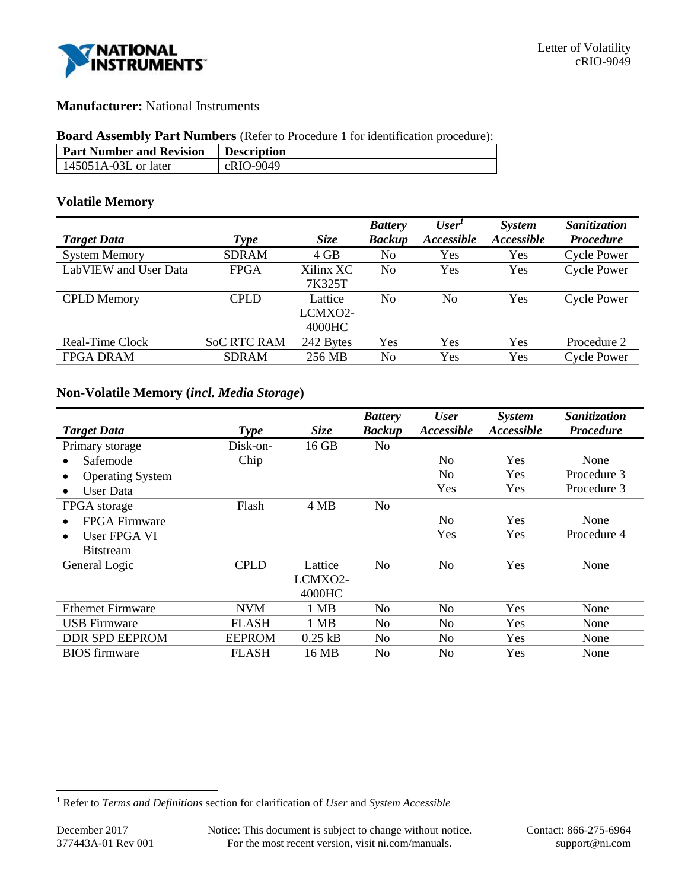

# **Manufacturer:** National Instruments

## **Board Assembly Part Numbers** (Refer to Procedure 1 for identification procedure):

| <b>Part Number and Revision</b> | <b>Description</b> |
|---------------------------------|--------------------|
| $145051A-03L$ or later          | cRIO-9049          |

# **Volatile Memory**

|                       |                    |             | <b>Battery</b> | User <sup>1</sup>        | <b>System</b>     | Sanitization       |
|-----------------------|--------------------|-------------|----------------|--------------------------|-------------------|--------------------|
| <b>Target Data</b>    | <b>Type</b>        | <b>Size</b> | <b>Backup</b>  | <i><b>Accessible</b></i> | <b>Accessible</b> | <b>Procedure</b>   |
| <b>System Memory</b>  | <b>SDRAM</b>       | $4$ GB      | No             | Yes                      | Yes               | <b>Cycle Power</b> |
| LabVIEW and User Data | <b>FPGA</b>        | Xilinx XC   | No             | Yes                      | Yes               | <b>Cycle Power</b> |
|                       |                    | 7K325T      |                |                          |                   |                    |
| <b>CPLD</b> Memory    | <b>CPLD</b>        | Lattice     | No             | No                       | Yes               | <b>Cycle Power</b> |
|                       |                    | LCMXO2-     |                |                          |                   |                    |
|                       |                    | 4000HC      |                |                          |                   |                    |
| Real-Time Clock       | <b>SoC RTC RAM</b> | 242 Bytes   | Yes            | Yes                      | Yes               | Procedure 2        |
| <b>FPGA DRAM</b>      | <b>SDRAM</b>       | 256 MB      | No             | Yes                      | Yes               | <b>Cycle Power</b> |
|                       |                    |             |                |                          |                   |                    |

# **Non-Volatile Memory (***incl. Media Storage***)**

|                           |               |             | <b>Battery</b> | <b>User</b>    | <b>System</b>            | Sanitization     |
|---------------------------|---------------|-------------|----------------|----------------|--------------------------|------------------|
| <b>Target Data</b>        | <b>Type</b>   | <b>Size</b> | <b>Backup</b>  | Accessible     | <i><b>Accessible</b></i> | <b>Procedure</b> |
| Primary storage           | Disk-on-      | 16 GB       | N <sub>0</sub> |                |                          |                  |
| Safemode                  | Chip          |             |                | No             | Yes                      | None             |
| <b>Operating System</b>   |               |             |                | N <sub>0</sub> | <b>Yes</b>               | Procedure 3      |
| User Data<br>$\bullet$    |               |             |                | Yes            | Yes                      | Procedure 3      |
| FPGA storage              | Flash         | 4 MB        | N <sub>o</sub> |                |                          |                  |
| FPGA Firmware             |               |             |                | N <sub>0</sub> | <b>Yes</b>               | None             |
| User FPGA VI<br>$\bullet$ |               |             |                | Yes            | Yes                      | Procedure 4      |
| <b>Bitstream</b>          |               |             |                |                |                          |                  |
| General Logic             | <b>CPLD</b>   | Lattice     | N <sub>0</sub> | N <sub>0</sub> | <b>Yes</b>               | None             |
|                           |               | LCMXO2-     |                |                |                          |                  |
|                           |               | 4000HC      |                |                |                          |                  |
| <b>Ethernet Firmware</b>  | <b>NVM</b>    | 1 MB        | N <sub>0</sub> | No             | Yes                      | None             |
| <b>USB</b> Firmware       | <b>FLASH</b>  | 1 MB        | N <sub>0</sub> | N <sub>0</sub> | Yes                      | None             |
| <b>DDR SPD EEPROM</b>     | <b>EEPROM</b> | $0.25$ kB   | No             | N <sub>o</sub> | Yes                      | None             |
| <b>BIOS</b> firmware      | <b>FLASH</b>  | 16 MB       | No             | No             | Yes                      | None             |

l

<sup>1</sup> Refer to *Terms and Definitions* section for clarification of *User* and *System Accessible*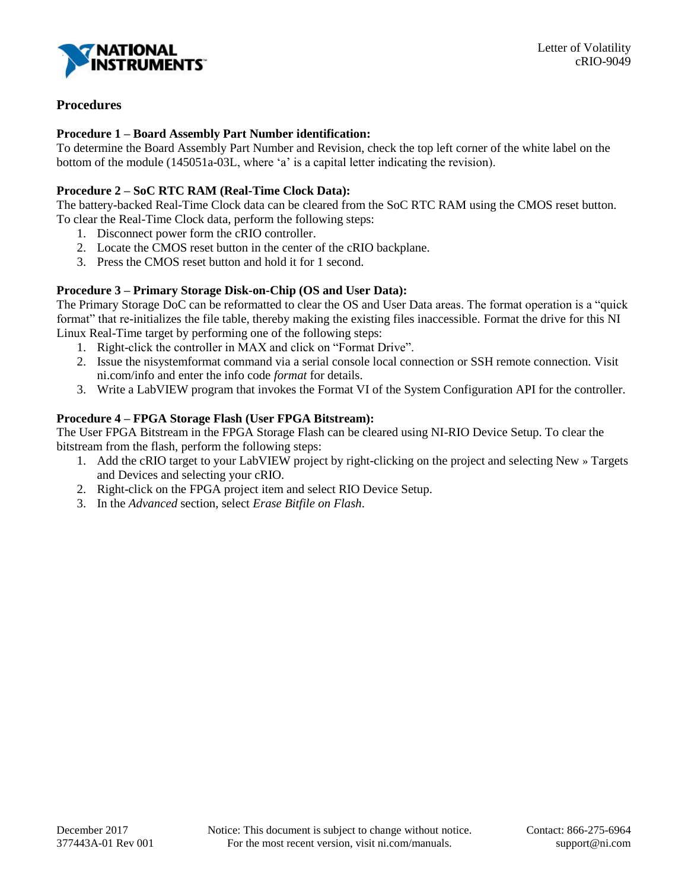

# **Procedures**

## **Procedure 1 – Board Assembly Part Number identification:**

To determine the Board Assembly Part Number and Revision, check the top left corner of the white label on the bottom of the module (145051a-03L, where 'a' is a capital letter indicating the revision).

# **Procedure 2 – SoC RTC RAM (Real-Time Clock Data):**

The battery-backed Real-Time Clock data can be cleared from the SoC RTC RAM using the CMOS reset button. To clear the Real-Time Clock data, perform the following steps:

- 1. Disconnect power form the cRIO controller.
- 2. Locate the CMOS reset button in the center of the cRIO backplane.
- 3. Press the CMOS reset button and hold it for 1 second.

# **Procedure 3 – Primary Storage Disk-on-Chip (OS and User Data):**

The Primary Storage DoC can be reformatted to clear the OS and User Data areas. The format operation is a "quick format" that re-initializes the file table, thereby making the existing files inaccessible. Format the drive for this NI Linux Real-Time target by performing one of the following steps:

- 1. Right-click the controller in MAX and click on "Format Drive".
- 2. Issue the nisystemformat command via a serial console local connection or SSH remote connection. Visit ni.com/info and enter the info code *format* for details.
- 3. Write a LabVIEW program that invokes the Format VI of the System Configuration API for the controller.

# **Procedure 4 – FPGA Storage Flash (User FPGA Bitstream):**

The User FPGA Bitstream in the FPGA Storage Flash can be cleared using NI-RIO Device Setup. To clear the bitstream from the flash, perform the following steps:

- 1. Add the cRIO target to your LabVIEW project by right-clicking on the project and selecting New » Targets and Devices and selecting your cRIO.
- 2. Right-click on the FPGA project item and select RIO Device Setup.
- 3. In the *Advanced* section, select *Erase Bitfile on Flash*.